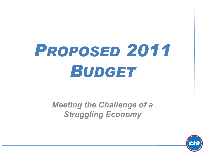# *PROPOSED 2011 BUDGET*

## *Meeting the Challenge of a Struggling Economy*

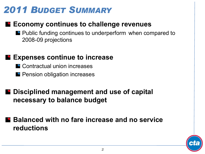## *2011 BUDGET SUMMARY*

#### **Economy continues to challenge revenues**

**Public funding continues to underperform when compared to** 2008-09 projections

#### **Expenses continue to increase**

- **C** Contractual union increases
- **Pension obligation increases**

#### **Disciplined management and use of capital necessary to balance budget**

**Balanced with no fare increase and no service reductions**

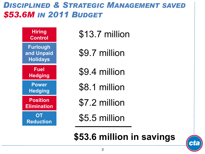#### *DISCIPLINED & STRATEGIC MANAGEMENT SAVED \$53.6M IN 2011 BUDGET*



\$13.7 million

\$9.7 million

\$9.4 million

\$8.1 million

\$7.2 million

\$5.5 million

**\$53.6 million in savings**

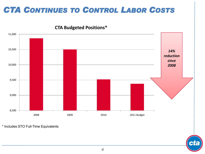## *CTA CONTINUES TO CONTROL LABOR COSTS*



\* Includes STO Full-Time Equivalents

 $\rightarrow$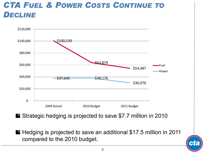## *CTA FUEL & POWER COSTS CONTINUE TO DECLINE*



■ Strategic hedging is projected to save \$7.7 million in 2010

**Hedging is projected to save an additional \$17.5 million in 2011** compared to the 2010 budget.

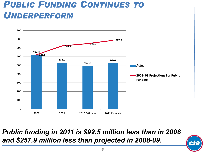## *PUBLIC FUNDING CONTINUES TO UNDERPERFORM*



*Public funding in 2011 is \$92.5 million less than in 2008 and \$257.9 million less than projected in 2008-09.*

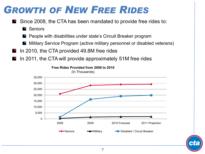# *GROWTH OF NEW FREE RIDES*

- Since 2008, the CTA has been mandated to provide free rides to:
	- Seniors  $\bullet$
	- People with disabilities under state's Circuit Breaker program
	- Military Service Program (active military personnel or disabled veterans)
- In 2010, the CTA provided 49.8M free rides
- In 2011, the CTA will provide approximately 51M free rides

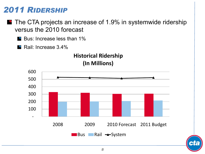### *2011 RIDERSHIP*

- **The CTA projects an increase of 1.9% in systemwide ridership** versus the 2010 forecast
	- **Bus: Increase less than 1%**
	- **Rail: Increase 3.4%**

#### **Historical Ridership (In Millions)**

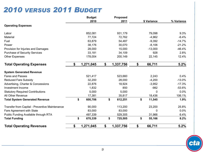#### *2010 VERSUS 2011 BUDGET*

|                                                |    | <b>Budget</b> |    | Proposed  |    |             |            |
|------------------------------------------------|----|---------------|----|-----------|----|-------------|------------|
|                                                |    | 2010          |    | 2011      |    | \$ Variance | % Variance |
| <b>Operating Expenses</b>                      |    |               |    |           |    |             |            |
| Labor                                          |    | 852,081       |    | 931,179   |    | 79,098      | 9.3%       |
| Material                                       |    | 77,724        |    | 72,762    |    | $-4,962$    | $-6.4%$    |
| Fuel                                           |    | 63,879        |    | 54,487    |    | $-9,392$    | $-14.7%$   |
| Power                                          |    | 38,176        |    | 30,070    |    | $-8,106$    | $-21.2%$   |
| Provision for Injuries and Damages             |    | 28,000        |    | 15,000    |    | $-13,000$   | $-46.4%$   |
| <b>Purchase of Security Services</b>           |    | 33,181        |    | 34,109    |    | 928         | 2.8%       |
| <b>Other Expenses</b>                          |    | 178,004       |    | 200,149   |    | 22,145      | 12.4%      |
| <b>Total Operating Expenses</b>                | \$ | 1,271,045     | \$ | 1,337,756 | \$ | 66,711      | 5.2%       |
| <b>System Generated Revenue</b>                |    |               |    |           |    |             |            |
| <b>Fares and Passes</b>                        |    | 521,417       |    | 523,660   |    | 2,243       | 0.4%       |
| <b>Reduced Fare Subsidy</b>                    |    | 32,200        |    | 28,000    |    | $-4,200$    | $-13.0%$   |
| Advertising, Charter & Concessions             |    | 22,876        |    | 18,924    |    | $-3,952$    | $-17.3%$   |
| Investment Income                              |    | 1,832         |    | 850       |    | $-982$      | $-53.6%$   |
| <b>Statutory Required Contributions</b>        |    | 5,000         |    | 5,000     |    | $\Omega$    | 0.0%       |
| All Other Revenue                              |    | 17,381        |    | 35,817    |    | 18,436      | 106.1%     |
| <b>Total System Generated Revenue</b>          | \$ | 600,706       | \$ | 612,251   | \$ | 11,545      | 1.9%       |
| Transfer from Capital - Preventive Maintenance |    | 90,000        |    | 113,200   |    | 23,200      | 25.8%      |
| Fare Agreement with State                      |    | 83,000        |    | 83,000    |    | $\Omega$    | 0.0%       |
| Public Funding Available through RTA           |    | 497,339       |    | 529,305   |    | 31,966      | 6.4%       |
| <b>Total Funding</b>                           | \$ | 670,339       | \$ | 725,505   | \$ | 55,166      | 8.2%       |
| <b>Total Operating Revenues</b>                | \$ | 1,271,045     | \$ | 1,337,756 | \$ | 66,711      | 5.2%       |